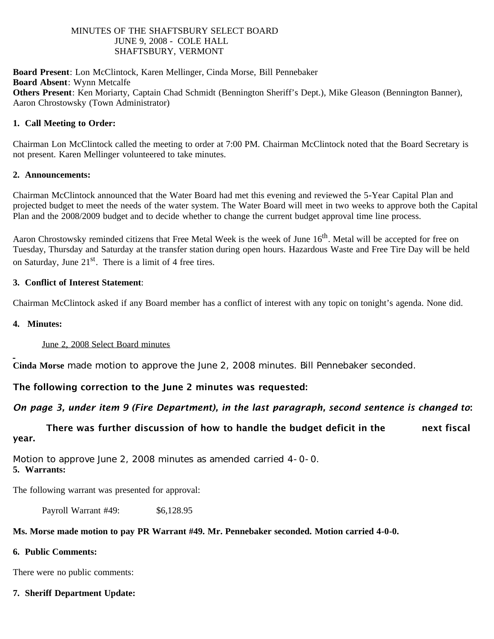#### MINUTES OF THE SHAFTSBURY SELECT BOARD JUNE 9, 2008 - COLE HALL SHAFTSBURY, VERMONT

**Board Present**: Lon McClintock, Karen Mellinger, Cinda Morse, Bill Pennebaker **Board Absent**: Wynn Metcalfe **Others Present**: Ken Moriarty, Captain Chad Schmidt (Bennington Sheriff's Dept.), Mike Gleason (Bennington Banner), Aaron Chrostowsky (Town Administrator)

#### **1. Call Meeting to Order:**

Chairman Lon McClintock called the meeting to order at 7:00 PM. Chairman McClintock noted that the Board Secretary is not present. Karen Mellinger volunteered to take minutes.

#### **2. Announcements:**

Chairman McClintock announced that the Water Board had met this evening and reviewed the 5-Year Capital Plan and projected budget to meet the needs of the water system. The Water Board will meet in two weeks to approve both the Capital Plan and the 2008/2009 budget and to decide whether to change the current budget approval time line process.

Aaron Chrostowsky reminded citizens that Free Metal Week is the week of June 16<sup>th</sup>. Metal will be accepted for free on Tuesday, Thursday and Saturday at the transfer station during open hours. Hazardous Waste and Free Tire Day will be held on Saturday, June  $21<sup>st</sup>$ . There is a limit of 4 free tires.

#### **3. Conflict of Interest Statement**:

Chairman McClintock asked if any Board member has a conflict of interest with any topic on tonight's agenda. None did.

#### **4. Minutes:**

June 2, 2008 Select Board minutes

**Cinda Morse** made motion to approve the June 2, 2008 minutes. Bill Pennebaker seconded.

# The following correction to the June 2 minutes was requested:

# *On page 3, under item 9 (Fire Department), in the last paragraph, second sentence is changed to*:

 There was further discussion of how to handle the budget deficit in the next fiscal year.

Motion to approve June 2, 2008 minutes as amended carried 4-0-0. **5. Warrants:**

The following warrant was presented for approval:

Payroll Warrant #49: \$6,128.95

# **Ms. Morse made motion to pay PR Warrant #49. Mr. Pennebaker seconded. Motion carried 4-0-0.**

# **6. Public Comments:**

There were no public comments:

# **7. Sheriff Department Update:**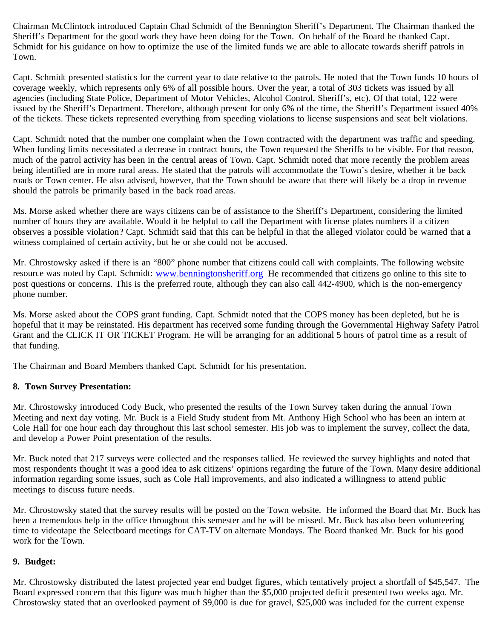Chairman McClintock introduced Captain Chad Schmidt of the Bennington Sheriff's Department. The Chairman thanked the Sheriff's Department for the good work they have been doing for the Town. On behalf of the Board he thanked Capt. Schmidt for his guidance on how to optimize the use of the limited funds we are able to allocate towards sheriff patrols in Town.

Capt. Schmidt presented statistics for the current year to date relative to the patrols. He noted that the Town funds 10 hours of coverage weekly, which represents only 6% of all possible hours. Over the year, a total of 303 tickets was issued by all agencies (including State Police, Department of Motor Vehicles, Alcohol Control, Sheriff's, etc). Of that total, 122 were issued by the Sheriff's Department. Therefore, although present for only 6% of the time, the Sheriff's Department issued 40% of the tickets. These tickets represented everything from speeding violations to license suspensions and seat belt violations.

Capt. Schmidt noted that the number one complaint when the Town contracted with the department was traffic and speeding. When funding limits necessitated a decrease in contract hours, the Town requested the Sheriffs to be visible. For that reason, much of the patrol activity has been in the central areas of Town. Capt. Schmidt noted that more recently the problem areas being identified are in more rural areas. He stated that the patrols will accommodate the Town's desire, whether it be back roads or Town center. He also advised, however, that the Town should be aware that there will likely be a drop in revenue should the patrols be primarily based in the back road areas.

Ms. Morse asked whether there are ways citizens can be of assistance to the Sheriff's Department, considering the limited number of hours they are available. Would it be helpful to call the Department with license plates numbers if a citizen observes a possible violation? Capt. Schmidt said that this can be helpful in that the alleged violator could be warned that a witness complained of certain activity, but he or she could not be accused.

Mr. Chrostowsky asked if there is an "800" phone number that citizens could call with complaints. The following website resource was noted by Capt. Schmidt: [www.benningtonsheriff.org](http://www.benningtonsheriff.org/) He recommended that citizens go online to this site to post questions or concerns. This is the preferred route, although they can also call 442-4900, which is the non-emergency phone number.

Ms. Morse asked about the COPS grant funding. Capt. Schmidt noted that the COPS money has been depleted, but he is hopeful that it may be reinstated. His department has received some funding through the Governmental Highway Safety Patrol Grant and the CLICK IT OR TICKET Program. He will be arranging for an additional 5 hours of patrol time as a result of that funding.

The Chairman and Board Members thanked Capt. Schmidt for his presentation.

# **8. Town Survey Presentation:**

Mr. Chrostowsky introduced Cody Buck, who presented the results of the Town Survey taken during the annual Town Meeting and next day voting. Mr. Buck is a Field Study student from Mt. Anthony High School who has been an intern at Cole Hall for one hour each day throughout this last school semester. His job was to implement the survey, collect the data, and develop a Power Point presentation of the results.

Mr. Buck noted that 217 surveys were collected and the responses tallied. He reviewed the survey highlights and noted that most respondents thought it was a good idea to ask citizens' opinions regarding the future of the Town. Many desire additional information regarding some issues, such as Cole Hall improvements, and also indicated a willingness to attend public meetings to discuss future needs.

Mr. Chrostowsky stated that the survey results will be posted on the Town website. He informed the Board that Mr. Buck has been a tremendous help in the office throughout this semester and he will be missed. Mr. Buck has also been volunteering time to videotape the Selectboard meetings for CAT-TV on alternate Mondays. The Board thanked Mr. Buck for his good work for the Town.

# **9. Budget:**

Mr. Chrostowsky distributed the latest projected year end budget figures, which tentatively project a shortfall of \$45,547. The Board expressed concern that this figure was much higher than the \$5,000 projected deficit presented two weeks ago. Mr. Chrostowsky stated that an overlooked payment of \$9,000 is due for gravel, \$25,000 was included for the current expense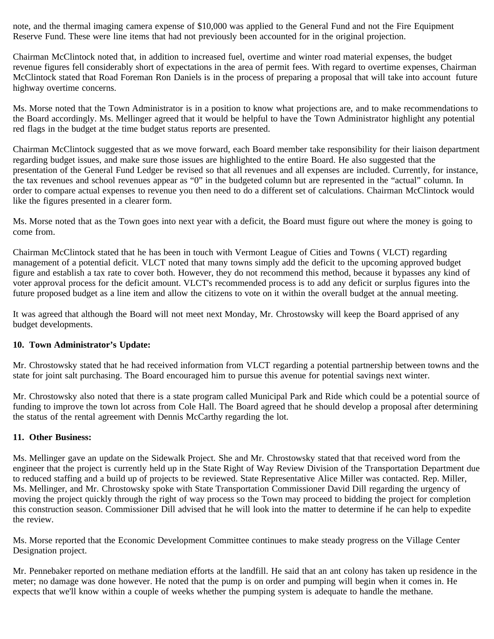note, and the thermal imaging camera expense of \$10,000 was applied to the General Fund and not the Fire Equipment Reserve Fund. These were line items that had not previously been accounted for in the original projection.

Chairman McClintock noted that, in addition to increased fuel, overtime and winter road material expenses, the budget revenue figures fell considerably short of expectations in the area of permit fees. With regard to overtime expenses, Chairman McClintock stated that Road Foreman Ron Daniels is in the process of preparing a proposal that will take into account future highway overtime concerns.

Ms. Morse noted that the Town Administrator is in a position to know what projections are, and to make recommendations to the Board accordingly. Ms. Mellinger agreed that it would be helpful to have the Town Administrator highlight any potential red flags in the budget at the time budget status reports are presented.

Chairman McClintock suggested that as we move forward, each Board member take responsibility for their liaison department regarding budget issues, and make sure those issues are highlighted to the entire Board. He also suggested that the presentation of the General Fund Ledger be revised so that all revenues and all expenses are included. Currently, for instance, the tax revenues and school revenues appear as "0" in the budgeted column but are represented in the "actual" column. In order to compare actual expenses to revenue you then need to do a different set of calculations. Chairman McClintock would like the figures presented in a clearer form.

Ms. Morse noted that as the Town goes into next year with a deficit, the Board must figure out where the money is going to come from.

Chairman McClintock stated that he has been in touch with Vermont League of Cities and Towns ( VLCT) regarding management of a potential deficit. VLCT noted that many towns simply add the deficit to the upcoming approved budget figure and establish a tax rate to cover both. However, they do not recommend this method, because it bypasses any kind of voter approval process for the deficit amount. VLCT's recommended process is to add any deficit or surplus figures into the future proposed budget as a line item and allow the citizens to vote on it within the overall budget at the annual meeting.

It was agreed that although the Board will not meet next Monday, Mr. Chrostowsky will keep the Board apprised of any budget developments.

#### **10. Town Administrator's Update:**

Mr. Chrostowsky stated that he had received information from VLCT regarding a potential partnership between towns and the state for joint salt purchasing. The Board encouraged him to pursue this avenue for potential savings next winter.

Mr. Chrostowsky also noted that there is a state program called Municipal Park and Ride which could be a potential source of funding to improve the town lot across from Cole Hall. The Board agreed that he should develop a proposal after determining the status of the rental agreement with Dennis McCarthy regarding the lot.

#### **11. Other Business:**

Ms. Mellinger gave an update on the Sidewalk Project. She and Mr. Chrostowsky stated that that received word from the engineer that the project is currently held up in the State Right of Way Review Division of the Transportation Department due to reduced staffing and a build up of projects to be reviewed. State Representative Alice Miller was contacted. Rep. Miller, Ms. Mellinger, and Mr. Chrostowsky spoke with State Transportation Commissioner David Dill regarding the urgency of moving the project quickly through the right of way process so the Town may proceed to bidding the project for completion this construction season. Commissioner Dill advised that he will look into the matter to determine if he can help to expedite the review.

Ms. Morse reported that the Economic Development Committee continues to make steady progress on the Village Center Designation project.

Mr. Pennebaker reported on methane mediation efforts at the landfill. He said that an ant colony has taken up residence in the meter; no damage was done however. He noted that the pump is on order and pumping will begin when it comes in. He expects that we'll know within a couple of weeks whether the pumping system is adequate to handle the methane.